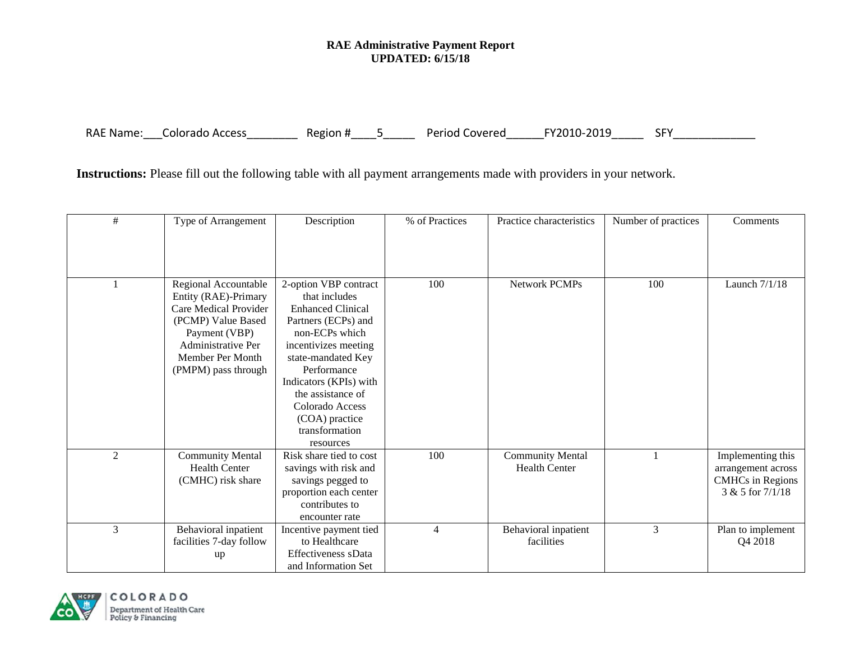## **RAE Administrative Payment Report UPDATED: 6/15/18**

RAE Name: \_\_\_Colorado Access\_\_\_\_\_\_\_\_\_ Region #\_\_\_\_5\_\_\_\_\_ Period Covered\_\_\_\_\_\_FY2010-2019\_\_\_\_\_ SFY\_\_\_\_\_\_\_\_\_\_\_\_\_

**Instructions:** Please fill out the following table with all payment arrangements made with providers in your network.

| #              | Type of Arrangement                                                                                                                                                           | Description                                                                                                                                                                                                                                                                    | % of Practices | Practice characteristics                        | Number of practices | Comments                                                                               |
|----------------|-------------------------------------------------------------------------------------------------------------------------------------------------------------------------------|--------------------------------------------------------------------------------------------------------------------------------------------------------------------------------------------------------------------------------------------------------------------------------|----------------|-------------------------------------------------|---------------------|----------------------------------------------------------------------------------------|
|                |                                                                                                                                                                               |                                                                                                                                                                                                                                                                                |                |                                                 |                     |                                                                                        |
|                |                                                                                                                                                                               |                                                                                                                                                                                                                                                                                |                |                                                 |                     |                                                                                        |
|                | Regional Accountable<br>Entity (RAE)-Primary<br>Care Medical Provider<br>(PCMP) Value Based<br>Payment (VBP)<br>Administrative Per<br>Member Per Month<br>(PMPM) pass through | 2-option VBP contract<br>that includes<br><b>Enhanced Clinical</b><br>Partners (ECPs) and<br>non-ECPs which<br>incentivizes meeting<br>state-mandated Key<br>Performance<br>Indicators (KPIs) with<br>the assistance of<br>Colorado Access<br>(COA) practice<br>transformation | 100            | <b>Network PCMPs</b>                            | 100                 | Launch 7/1/18                                                                          |
|                |                                                                                                                                                                               | resources                                                                                                                                                                                                                                                                      |                |                                                 |                     |                                                                                        |
| $\overline{2}$ | <b>Community Mental</b><br><b>Health Center</b><br>(CMHC) risk share                                                                                                          | Risk share tied to cost<br>savings with risk and<br>savings pegged to<br>proportion each center<br>contributes to<br>encounter rate                                                                                                                                            | 100            | <b>Community Mental</b><br><b>Health Center</b> |                     | Implementing this<br>arrangement across<br><b>CMHCs</b> in Regions<br>3 & 5 for 7/1/18 |
| 3              | Behavioral inpatient<br>facilities 7-day follow<br>up                                                                                                                         | Incentive payment tied<br>to Healthcare<br>Effectiveness sData<br>and Information Set                                                                                                                                                                                          | 4              | Behavioral inpatient<br>facilities              | 3                   | Plan to implement<br>Q4 2018                                                           |